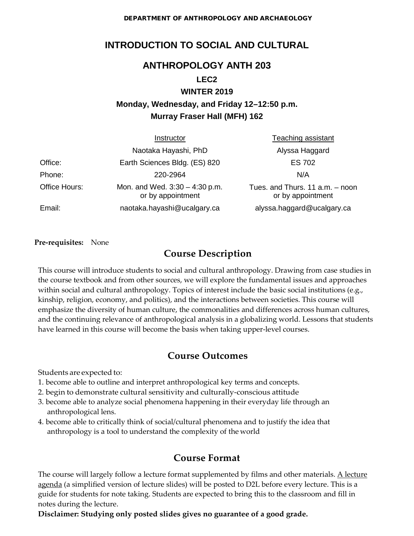DEPARTMENT OF ANTHROPOLOGY AND ARCHAEOLOGY

# **INTRODUCTION TO SOCIAL AND CULTURAL**

## **ANTHROPOLOGY ANTH 203**

#### **LEC2**

#### **WINTER 2019**

# **Monday, Wednesday, and Friday 12–12:50 p.m. Murray Fraser Hall (MFH) 162**

|               | Instructor                                            | <b>Teaching assistant</b>                            |  |  |
|---------------|-------------------------------------------------------|------------------------------------------------------|--|--|
|               | Naotaka Hayashi, PhD                                  | Alyssa Haggard                                       |  |  |
| Office:       | Earth Sciences Bldg. (ES) 820                         | <b>ES 702</b>                                        |  |  |
| Phone:        | 220-2964                                              | N/A                                                  |  |  |
| Office Hours: | Mon. and Wed. $3:30 - 4:30$ p.m.<br>or by appointment | Tues. and Thurs. 11 a.m. - noon<br>or by appointment |  |  |
| Email:        | naotaka.hayashi@ucalgary.ca                           | alyssa.haggard@ucalgary.ca                           |  |  |

#### **Pre-requisites:** None

## **Course Description**

This course will introduce students to social and cultural anthropology. Drawing from case studies in the course textbook and from other sources, we will explore the fundamental issues and approaches within social and cultural anthropology. Topics of interest include the basic social institutions (e.g., kinship, religion, economy, and politics), and the interactions between societies. This course will emphasize the diversity of human culture, the commonalities and differences across human cultures, and the continuing relevance of anthropological analysis in a globalizing world. Lessons that students have learned in this course will become the basis when taking upper-level courses.

## **Course Outcomes**

Students are expected to:

- 1. become able to outline and interpret anthropological key terms and concepts.
- 2. begin to demonstrate cultural sensitivity and culturally-conscious attitude
- 3. become able to analyze social phenomena happening in their everyday life through an anthropological lens.
- 4. become able to critically think of social/cultural phenomena and to justify the idea that anthropology is a tool to understand the complexity of the world

# **Course Format**

The course will largely follow a lecture format supplemented by films and other materials.  $\underline{A}$  lecture agenda (a simplified version of lecture slides) will be posted to D2L before every lecture. This is a guide for students for note taking. Students are expected to bring this to the classroom and fill in notes during the lecture.

**Disclaimer: Studying only posted slides gives no guarantee of a good grade.**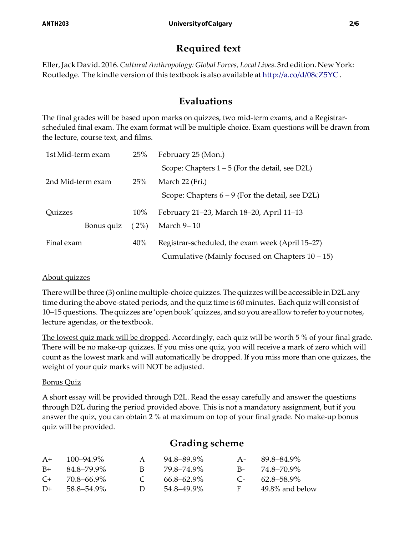# **Required text**

Eller,JackDavid. 2016.*Cultural Anthropology: Global Forces, Local Lives*. 3rdedition. New York: Routledge. The kindle version of this textbook is also available at  $\frac{http://a.co/d/08cZ5YC}{$  $\frac{http://a.co/d/08cZ5YC}{$  $\frac{http://a.co/d/08cZ5YC}{$ .

# **Evaluations**

The final grades will be based upon marks on quizzes, two mid-term exams, and a Registrarscheduled final exam. The exam format will be multiple choice. Exam questions will be drawn from the lecture, course text, and films.

| 1st Mid-term exam | 25%    | February 25 (Mon.)                                 |  |  |
|-------------------|--------|----------------------------------------------------|--|--|
|                   |        | Scope: Chapters $1 - 5$ (For the detail, see D2L)  |  |  |
| 2nd Mid-term exam | 25%    | March 22 (Fri.)                                    |  |  |
|                   |        | Scope: Chapters $6 - 9$ (For the detail, see D2L)  |  |  |
| Quizzes           | $10\%$ | February 21–23, March 18–20, April 11–13           |  |  |
| Bonus quiz        | (2%)   | March 9-10                                         |  |  |
| Final exam        | 40%    | Registrar-scheduled, the exam week (April 15–27)   |  |  |
|                   |        | Cumulative (Mainly focused on Chapters $10 - 15$ ) |  |  |

#### About quizzes

There will be three (3) <u>online</u> multiple-choice quizzes. The quizzes will be accessible <u>in D2L</u> any time during the above-stated periods, and the quiz time is 60 minutes. Each quiz will consist of 10–15 questions. The quizzes are 'openbook'quizzes, andsoyouare allow to referto yournotes, lecture agendas, or the textbook.

The lowest quiz mark will be dropped. Accordingly, each quiz will be worth 5 % of your final grade. There will be no make-up quizzes. If you miss one quiz, you will receive a mark of zero which will count as the lowest mark and will automatically be dropped. If you miss more than one quizzes, the weight of your quiz marks will NOT be adjusted.

#### Bonus Quiz

A short essay will be provided through D2L. Read the essay carefully and answer the questions through D2L during the period provided above. This is not a mandatory assignment, but if you answer the quiz, you can obtain 2 % at maximum on top of your final grade. No make-up bonus quiz will be provided.

## **Grading scheme**

| $A+$    | $100 - 94.9\%$ | A             | 94.8–89.9%      | $A -$     | 89.8–84.9%          |
|---------|----------------|---------------|-----------------|-----------|---------------------|
| $B+$    | 84.8–79.9%     | R.            | 79 8–74 9%      |           | $B - 74.8 - 70.9\%$ |
| $C_{+}$ | 70.8–66.9%     | $\mathcal{C}$ | $66.8 - 62.9\%$ | $C_{\pm}$ | 62.8–58.9%          |
| $D+$    | 58.8–54.9%     | $\mathbf{D}$  | 54.8–49.9%      | F.        | 49.8% and below     |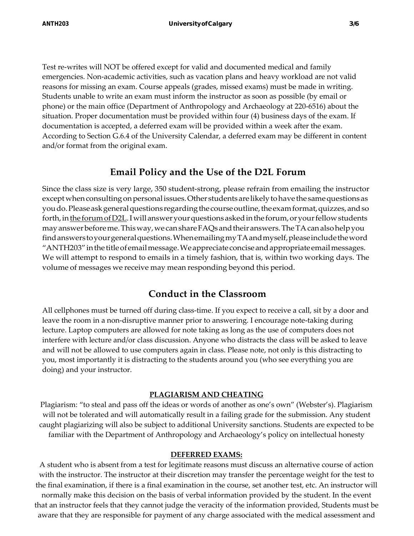Test re-writes will NOT be offered except for valid and documented medical and family emergencies. Non-academic activities, such as vacation plans and heavy workload are not valid reasons for missing an exam. Course appeals (grades, missed exams) must be made in writing. Students unable to write an exam must inform the instructor as soon as possible (by email or phone) or the main office (Department of Anthropology and Archaeology at 220-6516) about the situation. Proper documentation must be provided within four (4) business days of the exam. If documentation is accepted, a deferred exam will be provided within a week after the exam. According to Section G.6.4 of the University Calendar, a deferred exam may be different in content and/or format from the original exam.

# **Email Policy and the Use of the D2L Forum**

Since the class size is very large, 350 student-strong, please refrain from emailing the instructor except when consulting on personal issues. Other students are likely to have the same questions as youdo.Pleaseaskgeneralquestions regardingthecourseoutline,theexamformat,quizzes,andso forth, in the forum of D2L. I will answer your questions asked in the forum, or your fellow students mayanswerbeforeme.Thisway,wecanshareFAQsandtheiranswers.TheTAcanalsohelpyou findanswerstoyourgeneralquestions.WhenemailingmyTAandmyself,pleaseincludetheword "ANTH203"inthe titleofemailmessage.Weappreciateconciseandappropriateemailmessages. We will attempt to respond to emails in a timely fashion, that is, within two working days. The volume of messages we receive may mean responding beyond this period.

# **Conduct in the Classroom**

All cellphones must be turned off during class-time. If you expect to receive a call, sit by a door and leave the room in a non-disruptive manner prior to answering. I encourage note-taking during lecture. Laptop computers are allowed for note taking as long as the use of computers does not interfere with lecture and/or class discussion. Anyone who distracts the class will be asked to leave and will not be allowed to use computers again in class. Please note, not only is this distracting to you, most importantly it is distracting to the students around you (who see everything you are doing) and your instructor.

### **PLAGIARISM AND CHEATING**

Plagiarism: "to steal and pass off the ideas or words of another as one's own" (Webster's). Plagiarism will not be tolerated and will automatically result in a failing grade for the submission. Any student caught plagiarizing will also be subject to additional University sanctions. Students are expected to be familiar with the Department of Anthropology and Archaeology's policy on intellectual honesty

#### **DEFERRED EXAMS:**

A student who is absent from a test for legitimate reasons must discuss an alternative course of action with the instructor. The instructor at their discretion may transfer the percentage weight for the test to the final examination, if there is a final examination in the course, set another test, etc. An instructor will normally make this decision on the basis of verbal information provided by the student. In the event that an instructor feels that they cannot judge the veracity of the information provided, Students must be aware that they are responsible for payment of any charge associated with the medical assessment and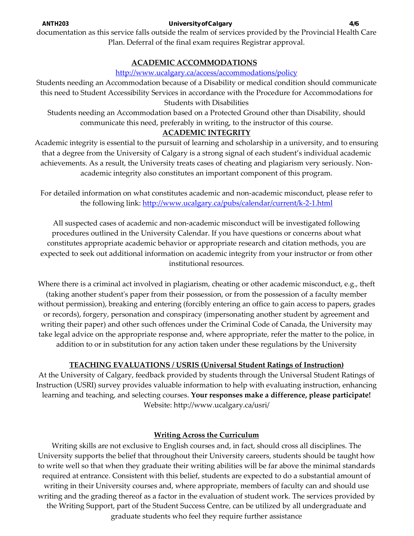ANTH203 UniversityofCalgary 4/6

documentation as this service falls outside the realm of services provided by the Provincial Health Care Plan. Deferral of the final exam requires Registrar approval.

## **ACADEMIC ACCOMMODATIONS**

### <http://www.ucalgary.ca/access/accommodations/policy>

Students needing an Accommodation because of a Disability or medical condition should communicate this need to Student Accessibility Services in accordance with the Procedure for Accommodations for Students with Disabilities

Students needing an Accommodation based on a Protected Ground other than Disability, should communicate this need, preferably in writing, to the instructor of this course.

## **ACADEMIC INTEGRITY**

Academic integrity is essential to the pursuit of learning and scholarship in a university, and to ensuring that a degree from the University of Calgary is a strong signal of each student's individual academic achievements. As a result, the University treats cases of cheating and plagiarism very seriously. Nonacademic integrity also constitutes an important component of this program.

For detailed information on what constitutes academic and non-academic misconduct, please refer to the following link:<http://www.ucalgary.ca/pubs/calendar/current/k-2-1.html>

All suspected cases of academic and non-academic misconduct will be investigated following procedures outlined in the University Calendar. If you have questions or concerns about what constitutes appropriate academic behavior or appropriate research and citation methods, you are expected to seek out additional information on academic integrity from your instructor or from other institutional resources.

Where there is a criminal act involved in plagiarism, cheating or other academic misconduct, e.g., theft (taking another student's paper from their possession, or from the possession of a faculty member without permission), breaking and entering (forcibly entering an office to gain access to papers, grades or records), forgery, personation and conspiracy (impersonating another student by agreement and writing their paper) and other such offences under the Criminal Code of Canada, the University may take legal advice on the appropriate response and, where appropriate, refer the matter to the police, in addition to or in substitution for any action taken under these regulations by the University

## **TEACHING EVALUATIONS / USRIS (Universal Student Ratings of Instruction)**

At the University of Calgary, feedback provided by students through the Universal Student Ratings of Instruction (USRI) survey provides valuable information to help with evaluating instruction, enhancing learning and teaching, and selecting courses. **Your responses make a difference, please participate!** Website: http://www.ucalgary.ca/usri/

## **Writing Across the Curriculum**

Writing skills are not exclusive to English courses and, in fact, should cross all disciplines. The University supports the belief that throughout their University careers, students should be taught how to write well so that when they graduate their writing abilities will be far above the minimal standards required at entrance. Consistent with this belief, students are expected to do a substantial amount of writing in their University courses and, where appropriate, members of faculty can and should use writing and the grading thereof as a factor in the evaluation of student work. The services provided by the Writing Support, part of the Student Success Centre, can be utilized by all undergraduate and graduate students who feel they require further assistance